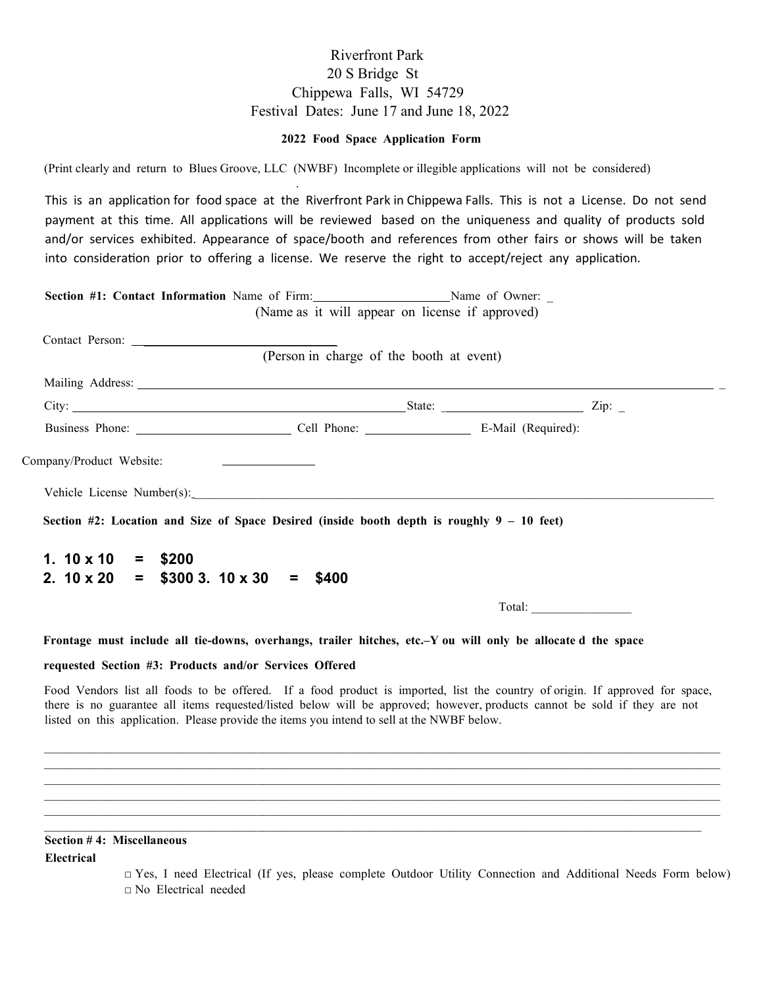## Riverfront Park 20 S Bridge St Chippewa Falls, WI 54729 Festival Dates: June 17 and June 18, 2022

## **2022 Food Space Application Form**

(Print clearly and return to Blues Groove, LLC (NWBF) Incomplete or illegible applications will not be considered)

.

This is an application for food space at the Riverfront Park in Chippewa Falls. This is not a License. Do not send payment at this time. All applications will be reviewed based on the uniqueness and quality of products sold and/or services exhibited. Appearance of space/booth and references from other fairs or shows will be taken into consideration prior to offering a license. We reserve the right to accept/reject any application.

| Section #1: Contact Information Name of Firm: Name of Owner: _                                                                                                                                                                                                                                                                                                     |                                                 |                                         |  |
|--------------------------------------------------------------------------------------------------------------------------------------------------------------------------------------------------------------------------------------------------------------------------------------------------------------------------------------------------------------------|-------------------------------------------------|-----------------------------------------|--|
|                                                                                                                                                                                                                                                                                                                                                                    | (Name as it will appear on license if approved) |                                         |  |
|                                                                                                                                                                                                                                                                                                                                                                    | (Person in charge of the booth at event)        |                                         |  |
| Mailing Address: 1988 and 2008 and 2008 and 2008 and 2008 and 2008 and 2008 and 2008 and 2008 and 2008 and 200                                                                                                                                                                                                                                                     |                                                 |                                         |  |
| City: $\frac{1}{\sqrt{2}}$ $\frac{1}{\sqrt{2}}$ $\frac{1}{\sqrt{2}}$ $\frac{1}{\sqrt{2}}$ $\frac{1}{\sqrt{2}}$ $\frac{1}{\sqrt{2}}$ $\frac{1}{\sqrt{2}}$ $\frac{1}{\sqrt{2}}$ $\frac{1}{\sqrt{2}}$ $\frac{1}{\sqrt{2}}$ $\frac{1}{\sqrt{2}}$ $\frac{1}{\sqrt{2}}$ $\frac{1}{\sqrt{2}}$ $\frac{1}{\sqrt{2}}$ $\frac{1}{\sqrt{2}}$ $\frac{1}{\sqrt{2}}$ $\frac{1}{\$ |                                                 |                                         |  |
|                                                                                                                                                                                                                                                                                                                                                                    |                                                 |                                         |  |
| Company/Product Website:<br><u> 1980 - Jan Samuel Barbara, martin a</u>                                                                                                                                                                                                                                                                                            |                                                 |                                         |  |
|                                                                                                                                                                                                                                                                                                                                                                    |                                                 |                                         |  |
| Section #2: Location and Size of Space Desired (inside booth depth is roughly $9 - 10$ feet)                                                                                                                                                                                                                                                                       |                                                 |                                         |  |
| 1. $10 \times 10 = $200$                                                                                                                                                                                                                                                                                                                                           |                                                 |                                         |  |
| 2. $10 \times 20 = $3003$ . $10 \times 30 =$                                                                                                                                                                                                                                                                                                                       | \$400                                           |                                         |  |
|                                                                                                                                                                                                                                                                                                                                                                    |                                                 | $\boxed{\text{Total:}\_\_\_\_\_\_\_\_}$ |  |
| Frontage must include all tie-downs, overhangs, trailer hitches, etc.-Y ou will only be allocated the space                                                                                                                                                                                                                                                        |                                                 |                                         |  |
| requested Section #3: Products and/or Services Offered                                                                                                                                                                                                                                                                                                             |                                                 |                                         |  |
| Food Vendors list all foods to be offered. If a food product is imported, list the country of origin. If approved for space,<br>there is no guarantee all items requested/listed below will be approved; however, products cannot be sold if they are not<br>listed on this application. Please provide the items you intend to sell at the NWBF below.            |                                                 |                                         |  |

\_\_\_\_\_\_\_\_\_\_\_\_\_\_\_\_\_\_\_\_\_\_\_\_\_\_\_\_\_\_\_\_\_\_\_\_\_\_\_\_\_\_\_\_\_\_\_\_\_\_\_\_\_\_\_\_\_\_\_\_\_\_\_\_\_\_\_\_\_\_\_\_\_\_\_\_\_\_\_\_\_\_\_\_\_\_\_\_\_\_\_\_\_\_\_\_\_\_\_\_\_\_\_\_\_\_\_\_ \_\_\_\_\_\_\_\_\_\_\_\_\_\_\_\_\_\_\_\_\_\_\_\_\_\_\_\_\_\_\_\_\_\_\_\_\_\_\_\_\_\_\_\_\_\_\_\_\_\_\_\_\_\_\_\_\_\_\_\_\_\_\_\_\_\_\_\_\_\_\_\_\_\_\_\_\_\_\_\_\_\_\_\_\_\_\_\_\_\_\_\_\_\_\_\_\_\_\_\_\_\_\_\_\_\_\_\_  $\_$  ,  $\_$  ,  $\_$  ,  $\_$  ,  $\_$  ,  $\_$  ,  $\_$  ,  $\_$  ,  $\_$  ,  $\_$  ,  $\_$  ,  $\_$  ,  $\_$  ,  $\_$  ,  $\_$  ,  $\_$  ,  $\_$  ,  $\_$  ,  $\_$  ,  $\_$  ,  $\_$  ,  $\_$  ,  $\_$  ,  $\_$  ,  $\_$  ,  $\_$  ,  $\_$  ,  $\_$  ,  $\_$  ,  $\_$  ,  $\_$  ,  $\_$  ,  $\_$  ,  $\_$  ,  $\_$  ,  $\_$  ,  $\_$  , \_\_\_\_\_\_\_\_\_\_\_\_\_\_\_\_\_\_\_\_\_\_\_\_\_\_\_\_\_\_\_\_\_\_\_\_\_\_\_\_\_\_\_\_\_\_\_\_\_\_\_\_\_\_\_\_\_\_\_\_\_\_\_\_\_\_\_\_\_\_\_\_\_\_\_\_\_\_\_\_\_\_\_\_\_\_\_\_\_\_\_\_\_\_\_\_\_\_\_\_\_\_\_\_\_\_\_\_  $\_$  ,  $\_$  ,  $\_$  ,  $\_$  ,  $\_$  ,  $\_$  ,  $\_$  ,  $\_$  ,  $\_$  ,  $\_$  ,  $\_$  ,  $\_$  ,  $\_$  ,  $\_$  ,  $\_$  ,  $\_$  ,  $\_$  ,  $\_$  ,  $\_$  ,  $\_$  ,  $\_$  ,  $\_$  ,  $\_$  ,  $\_$  ,  $\_$  ,  $\_$  ,  $\_$  ,  $\_$  ,  $\_$  ,  $\_$  ,  $\_$  ,  $\_$  ,  $\_$  ,  $\_$  ,  $\_$  ,  $\_$  ,  $\_$  ,  $\_$  , and the state of the state of the state of the state of the state of the state of the state of the state of the state of the state of the state of the state of the state of the state of the state of the state of the

## **Section # 4: Miscellaneous**

**Electrical** 

□ Yes, I need Electrical (If yes, please complete Outdoor Utility Connection and Additional Needs Form below) □ No Electrical needed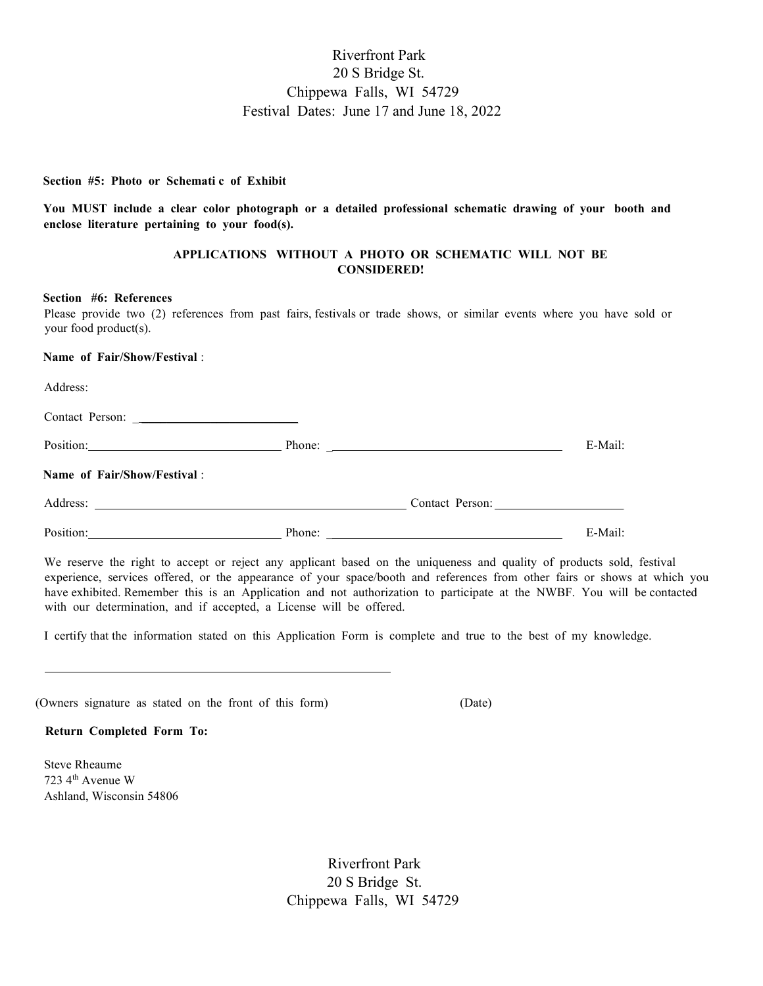# Riverfront Park 20 S Bridge St. Chippewa Falls, WI 54729 Festival Dates: June 17 and June 18, 2022

#### **Section #5: Photo or Schemati c of Exhibit**

**You MUST include a clear color photograph or a detailed professional schematic drawing of your booth and enclose literature pertaining to your food(s).** 

## **APPLICATIONS WITHOUT A PHOTO OR SCHEMATIC WILL NOT BE CONSIDERED!**

#### **Section #6: References**

Please provide two (2) references from past fairs, festivals or trade shows, or similar events where you have sold or your food product(s).

## **Name of Fair/Show/Festival** :

Address:

l

Contact Person: \_ \_\_\_\_\_\_\_\_\_\_\_\_\_\_\_\_\_\_\_\_\_\_\_\_\_

Position: E-Mail:

### **Name of Fair/Show/Festival** :

| Address: | `ontact<br>rson. |
|----------|------------------|
|          | __               |

| Position: | Phone: | - Mail. |
|-----------|--------|---------|
|           |        |         |

We reserve the right to accept or reject any applicant based on the uniqueness and quality of products sold, festival experience, services offered, or the appearance of your space/booth and references from other fairs or shows at which you have exhibited. Remember this is an Application and not authorization to participate at the NWBF. You will be contacted with our determination, and if accepted, a License will be offered.

I certify that the information stated on this Application Form is complete and true to the best of my knowledge.

| (Owners signature as stated on the front of this form) |  |  |  |  |  | (Date) |  |
|--------------------------------------------------------|--|--|--|--|--|--------|--|
|                                                        |  |  |  |  |  |        |  |

### **Return Completed Form To:**

Steve Rheaume 723 4th Avenue W Ashland, Wisconsin 54806

> Riverfront Park 20 S Bridge St. Chippewa Falls, WI 54729